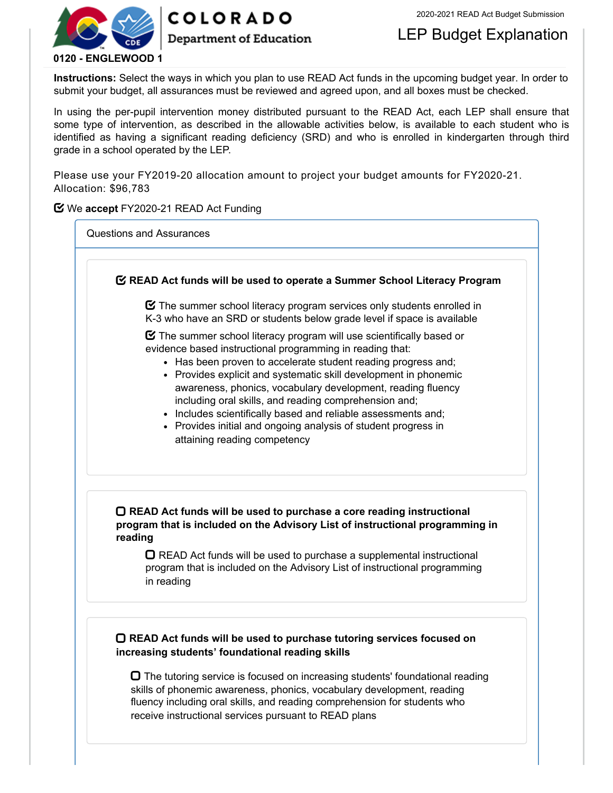

# **COLORADO**

### **Department of Education**

## LEP Budget Explanation

**Instructions:** Select the ways in which you plan to use READ Act funds in the upcoming budget year. In order to submit your budget, all assurances must be reviewed and agreed upon, and all boxes must be checked.

In using the per-pupil intervention money distributed pursuant to the READ Act, each LEP shall ensure that some type of intervention, as described in the allowable activities below, is available to each student who is identified as having a significant reading deficiency (SRD) and who is enrolled in kindergarten through third grade in a school operated by the LEP.

Please use your FY2019-20 allocation amount to project your budget amounts for FY2020-21. Allocation: \$96,783

### **Y** We accept FY2020-21 READ Act Funding

Questions and Assurances

 **READ Act funds will be used to operate a Summer School Literacy Program**  $\boldsymbol{\heartsuit}$  The summer school literacy program services only students enrolled in K-3 who have an SRD or students below grade level if space is available  $\boldsymbol{\Xi}$  The summer school literacy program will use scientifically based or evidence based instructional programming in reading that: • Has been proven to accelerate student reading progress and; • Provides explicit and systematic skill development in phonemic awareness, phonics, vocabulary development, reading fluency including oral skills, and reading comprehension and; • Includes scientifically based and reliable assessments and; • Provides initial and ongoing analysis of student progress in attaining reading competency **READ Act funds will be used to purchase a core reading instructional program that is included on the Advisory List of instructional programming in reading**  $\Box$  READ Act funds will be used to purchase a supplemental instructional program that is included on the Advisory List of instructional programming in reading **READ Act funds will be used to purchase tutoring services focused on increasing students' foundational reading skills**

 $\Box$  The tutoring service is focused on increasing students' foundational reading skills of phonemic awareness, phonics, vocabulary development, reading fluency including oral skills, and reading comprehension for students who receive instructional services pursuant to READ plans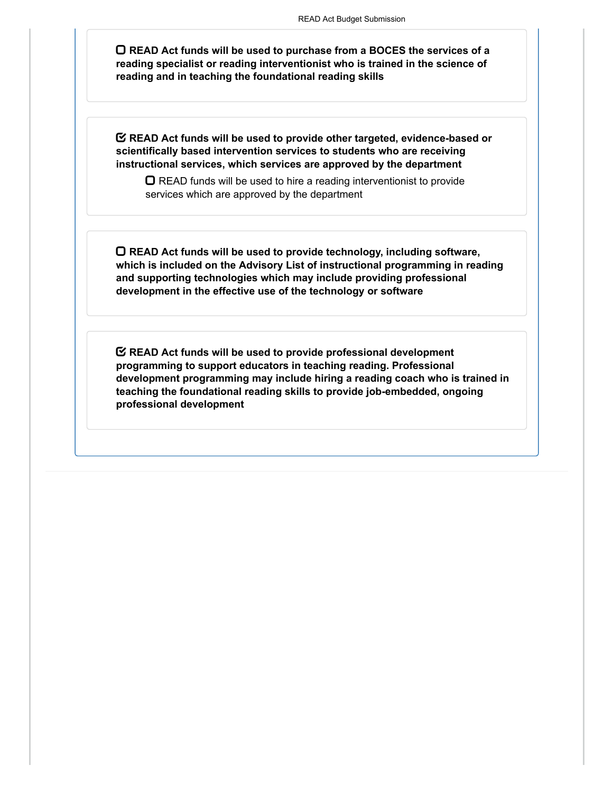**READ Act funds will be used to purchase from a BOCES the services of a reading specialist or reading interventionist who is trained in the science of reading and in teaching the foundational reading skills**

**READ Act funds will be used to provide other targeted, evidence-based or scientifically based intervention services to students who are receiving instructional services, which services are approved by the department**

 $\Box$  READ funds will be used to hire a reading interventionist to provide services which are approved by the department

**READ Act funds will be used to provide technology, including software, which is included on the Advisory List of instructional programming in reading and supporting technologies which may include providing professional development in the effective use of the technology or software**

**READ Act funds will be used to provide professional development programming to support educators in teaching reading. Professional development programming may include hiring a reading coach who is trained in teaching the foundational reading skills to provide job-embedded, ongoing professional development**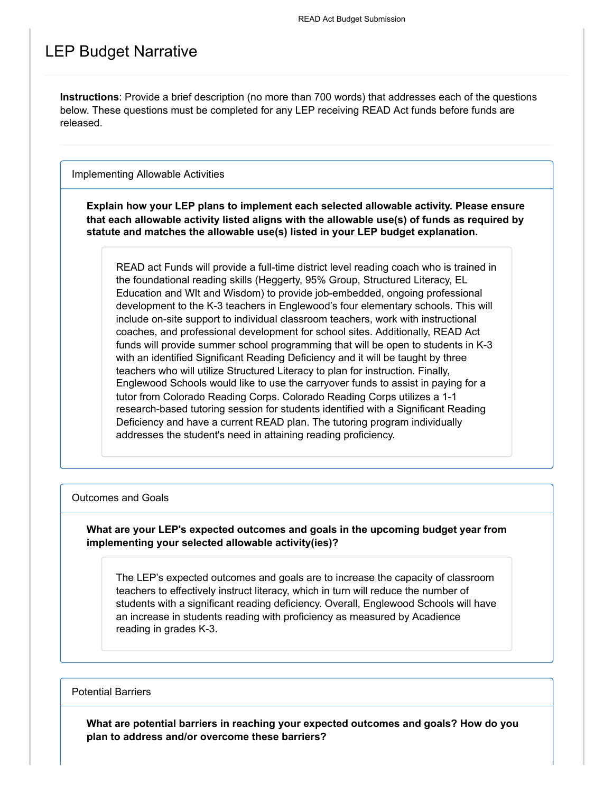## LEP Budget Narrative

**Instructions**: Provide a brief description (no more than 700 words) that addresses each of the questions below. These questions must be completed for any LEP receiving READ Act funds before funds are released.

Implementing Allowable Activities

**Explain how your LEP plans to implement each selected allowable activity. Please ensure that each allowable activity listed aligns with the allowable use(s) of funds as required by statute and matches the allowable use(s) listed in your LEP budget explanation.**

READ act Funds will provide a full-time district level reading coach who is trained in the foundational reading skills (Heggerty, 95% Group, Structured Literacy, EL Education and WIt and Wisdom) to provide job-embedded, ongoing professional development to the K-3 teachers in Englewood's four elementary schools. This will include on-site support to individual classroom teachers, work with instructional coaches, and professional development for school sites. Additionally, READ Act funds will provide summer school programming that will be open to students in K-3 with an identified Significant Reading Deficiency and it will be taught by three teachers who will utilize Structured Literacy to plan for instruction. Finally, Englewood Schools would like to use the carryover funds to assist in paying for a tutor from Colorado Reading Corps. Colorado Reading Corps utilizes a 1-1 research-based tutoring session for students identified with a Significant Reading Deficiency and have a current READ plan. The tutoring program individually addresses the student's need in attaining reading proficiency.

#### Outcomes and Goals

**What are your LEP's expected outcomes and goals in the upcoming budget year from implementing your selected allowable activity(ies)?**

The LEP's expected outcomes and goals are to increase the capacity of classroom teachers to effectively instruct literacy, which in turn will reduce the number of students with a significant reading deficiency. Overall, Englewood Schools will have an increase in students reading with proficiency as measured by Acadience reading in grades K-3.

Potential Barriers

**What are potential barriers in reaching your expected outcomes and goals? How do you plan to address and/or overcome these barriers?**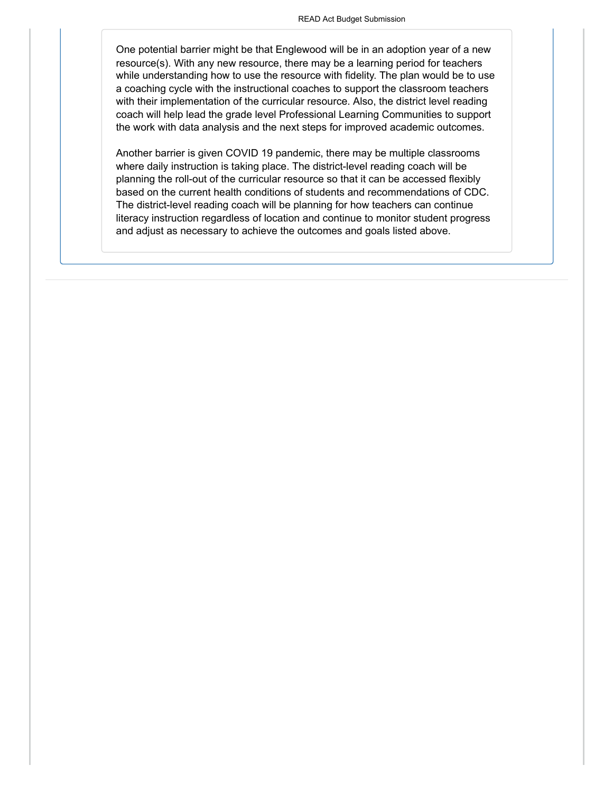One potential barrier might be that Englewood will be in an adoption year of a new resource(s). With any new resource, there may be a learning period for teachers while understanding how to use the resource with fidelity. The plan would be to use a coaching cycle with the instructional coaches to support the classroom teachers with their implementation of the curricular resource. Also, the district level reading coach will help lead the grade level Professional Learning Communities to support the work with data analysis and the next steps for improved academic outcomes.

Another barrier is given COVID 19 pandemic, there may be multiple classrooms where daily instruction is taking place. The district-level reading coach will be planning the roll-out of the curricular resource so that it can be accessed flexibly based on the current health conditions of students and recommendations of CDC. The district-level reading coach will be planning for how teachers can continue literacy instruction regardless of location and continue to monitor student progress and adjust as necessary to achieve the outcomes and goals listed above.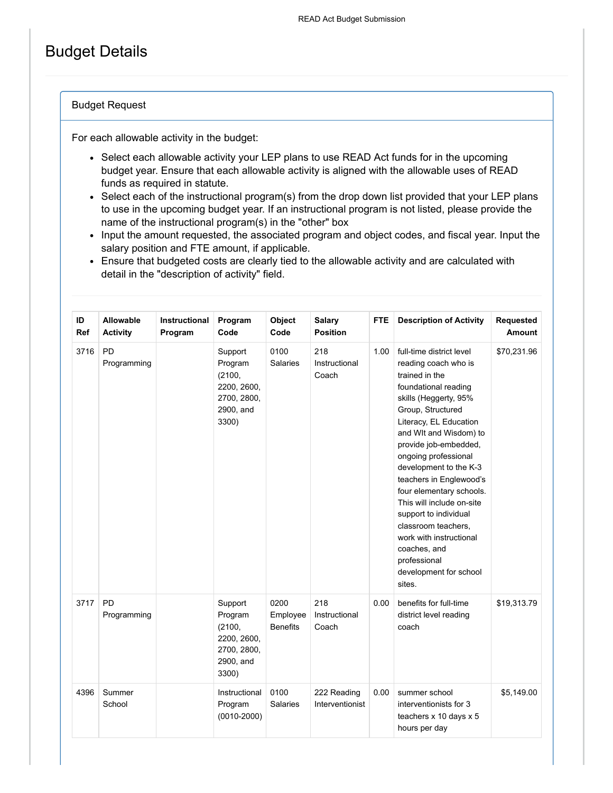# Budget Details

#### Budget Request

For each allowable activity in the budget:

- Select each allowable activity your LEP plans to use READ Act funds for in the upcoming budget year. Ensure that each allowable activity is aligned with the allowable uses of READ funds as required in statute.
- Select each of the instructional program(s) from the drop down list provided that your LEP plans to use in the upcoming budget year. If an instructional program is not listed, please provide the name of the instructional program(s) in the "other" box
- Input the amount requested, the associated program and object codes, and fiscal year. Input the salary position and FTE amount, if applicable.
- Ensure that budgeted costs are clearly tied to the allowable activity and are calculated with detail in the "description of activity" field.

| ID<br>Ref | <b>Allowable</b><br><b>Activity</b> | Instructional<br>Program | Program<br>Code                                                                  | Object<br>Code                      | <b>Salary</b><br><b>Position</b> | <b>FTE</b> | <b>Description of Activity</b>                                                                                                                                                                                                                                                                                                                                                                                                                                                                             | Requested<br>Amount |
|-----------|-------------------------------------|--------------------------|----------------------------------------------------------------------------------|-------------------------------------|----------------------------------|------------|------------------------------------------------------------------------------------------------------------------------------------------------------------------------------------------------------------------------------------------------------------------------------------------------------------------------------------------------------------------------------------------------------------------------------------------------------------------------------------------------------------|---------------------|
| 3716      | <b>PD</b><br>Programming            |                          | Support<br>Program<br>(2100,<br>2200, 2600,<br>2700, 2800,<br>2900, and<br>3300) | 0100<br><b>Salaries</b>             | 218<br>Instructional<br>Coach    | 1.00       | full-time district level<br>reading coach who is<br>trained in the<br>foundational reading<br>skills (Heggerty, 95%<br>Group, Structured<br>Literacy, EL Education<br>and WIt and Wisdom) to<br>provide job-embedded,<br>ongoing professional<br>development to the K-3<br>teachers in Englewood's<br>four elementary schools.<br>This will include on-site<br>support to individual<br>classroom teachers,<br>work with instructional<br>coaches, and<br>professional<br>development for school<br>sites. | \$70,231.96         |
| 3717      | <b>PD</b><br>Programming            |                          | Support<br>Program<br>(2100,<br>2200, 2600,<br>2700, 2800,<br>2900, and<br>3300) | 0200<br>Employee<br><b>Benefits</b> | 218<br>Instructional<br>Coach    | 0.00       | benefits for full-time<br>district level reading<br>coach                                                                                                                                                                                                                                                                                                                                                                                                                                                  | \$19,313.79         |
| 4396      | Summer<br>School                    |                          | Instructional<br>Program<br>$(0010 - 2000)$                                      | 0100<br><b>Salaries</b>             | 222 Reading<br>Interventionist   | 0.00       | summer school<br>interventionists for 3<br>teachers x 10 days x 5<br>hours per day                                                                                                                                                                                                                                                                                                                                                                                                                         | \$5,149.00          |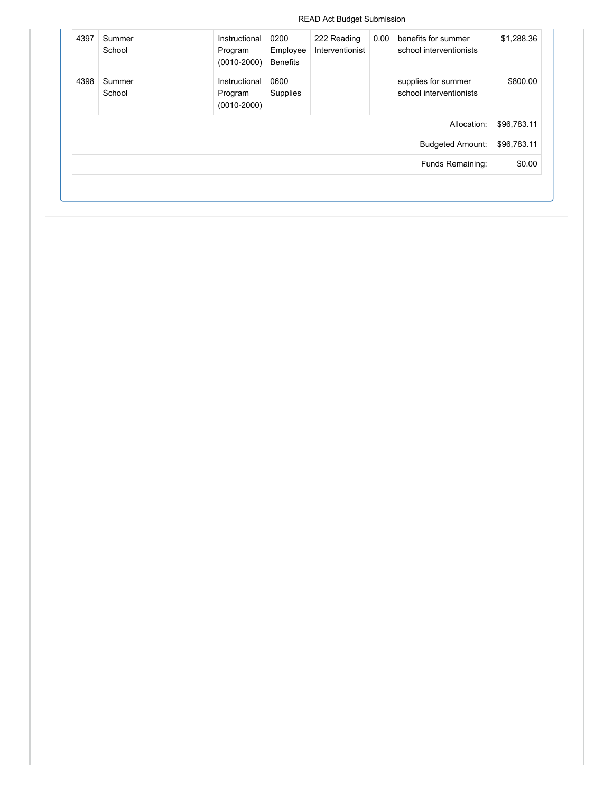READ Act Budget Submission

| \$1,288.36  | benefits for summer<br>school interventionists | 0.00 | 222 Reading<br>Interventionist | 0200<br>Employee<br><b>Benefits</b> | Instructional<br>Program<br>$(0010 - 2000)$ | Summer<br>School | 4397 |
|-------------|------------------------------------------------|------|--------------------------------|-------------------------------------|---------------------------------------------|------------------|------|
| \$800.00    | supplies for summer<br>school interventionists |      |                                | 0600<br>Supplies                    | Instructional<br>Program<br>$(0010 - 2000)$ | Summer<br>School | 4398 |
| \$96,783.11 | Allocation:                                    |      |                                |                                     |                                             |                  |      |
| \$96,783.11 | <b>Budgeted Amount:</b>                        |      |                                |                                     |                                             |                  |      |
| \$0.00      | Funds Remaining:                               |      |                                |                                     |                                             |                  |      |